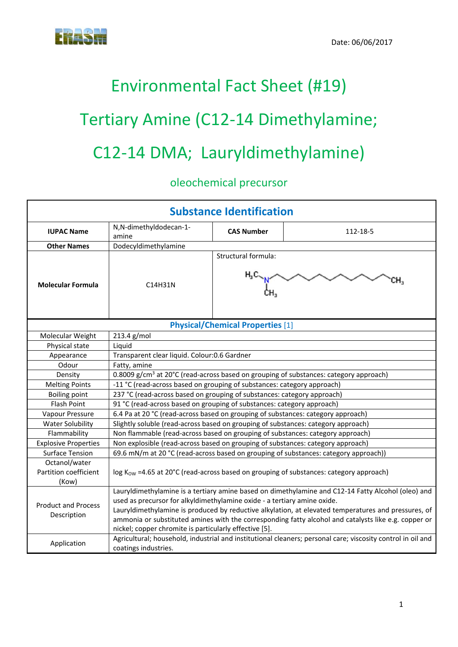## Environmental Fact Sheet (#19) Tertiary Amine (C12‐14 Dimethylamine; C12‐14 DMA; Lauryldimethylamine)

## oleochemical precursor

| <b>Substance Identification</b>                 |                                                                                                                                                                                                                                                                                                                                                                                                                                                         |                     |                                                                                                             |  |  |
|-------------------------------------------------|---------------------------------------------------------------------------------------------------------------------------------------------------------------------------------------------------------------------------------------------------------------------------------------------------------------------------------------------------------------------------------------------------------------------------------------------------------|---------------------|-------------------------------------------------------------------------------------------------------------|--|--|
| <b>IUPAC Name</b>                               | N,N-dimethyldodecan-1-<br>amine                                                                                                                                                                                                                                                                                                                                                                                                                         | <b>CAS Number</b>   | 112-18-5                                                                                                    |  |  |
| <b>Other Names</b>                              | Dodecyldimethylamine                                                                                                                                                                                                                                                                                                                                                                                                                                    |                     |                                                                                                             |  |  |
| <b>Molecular Formula</b>                        | C14H31N                                                                                                                                                                                                                                                                                                                                                                                                                                                 | Structural formula: | CH <sub>3</sub>                                                                                             |  |  |
| <b>Physical/Chemical Properties [1]</b>         |                                                                                                                                                                                                                                                                                                                                                                                                                                                         |                     |                                                                                                             |  |  |
| Molecular Weight                                | 213.4 g/mol                                                                                                                                                                                                                                                                                                                                                                                                                                             |                     |                                                                                                             |  |  |
| Physical state                                  | Liquid                                                                                                                                                                                                                                                                                                                                                                                                                                                  |                     |                                                                                                             |  |  |
| Appearance                                      | Transparent clear liquid. Colour:0.6 Gardner                                                                                                                                                                                                                                                                                                                                                                                                            |                     |                                                                                                             |  |  |
| Odour                                           | Fatty, amine                                                                                                                                                                                                                                                                                                                                                                                                                                            |                     |                                                                                                             |  |  |
| Density                                         | 0.8009 g/cm <sup>3</sup> at 20°C (read-across based on grouping of substances: category approach)                                                                                                                                                                                                                                                                                                                                                       |                     |                                                                                                             |  |  |
| <b>Melting Points</b>                           | -11 °C (read-across based on grouping of substances: category approach)                                                                                                                                                                                                                                                                                                                                                                                 |                     |                                                                                                             |  |  |
| <b>Boiling point</b>                            | 237 °C (read-across based on grouping of substances: category approach)                                                                                                                                                                                                                                                                                                                                                                                 |                     |                                                                                                             |  |  |
| Flash Point                                     | 91 °C (read-across based on grouping of substances: category approach)                                                                                                                                                                                                                                                                                                                                                                                  |                     |                                                                                                             |  |  |
| Vapour Pressure                                 | 6.4 Pa at 20 °C (read-across based on grouping of substances: category approach)                                                                                                                                                                                                                                                                                                                                                                        |                     |                                                                                                             |  |  |
| <b>Water Solubility</b>                         | Slightly soluble (read-across based on grouping of substances: category approach)                                                                                                                                                                                                                                                                                                                                                                       |                     |                                                                                                             |  |  |
| Flammability                                    | Non flammable (read-across based on grouping of substances: category approach)                                                                                                                                                                                                                                                                                                                                                                          |                     |                                                                                                             |  |  |
| <b>Explosive Properties</b>                     | Non explosible (read-across based on grouping of substances: category approach)                                                                                                                                                                                                                                                                                                                                                                         |                     |                                                                                                             |  |  |
| <b>Surface Tension</b>                          | 69.6 mN/m at 20 °C (read-across based on grouping of substances: category approach))                                                                                                                                                                                                                                                                                                                                                                    |                     |                                                                                                             |  |  |
| Octanol/water<br>Partition coefficient<br>(Kow) |                                                                                                                                                                                                                                                                                                                                                                                                                                                         |                     | log K <sub>ow</sub> =4.65 at 20°C (read-across based on grouping of substances: category approach)          |  |  |
| <b>Product and Process</b><br>Description       | Lauryldimethylamine is a tertiary amine based on dimethylamine and C12-14 Fatty Alcohol (oleo) and<br>used as precursor for alkyldimethylamine oxide - a tertiary amine oxide.<br>Lauryldimethylamine is produced by reductive alkylation, at elevated temperatures and pressures, of<br>ammonia or substituted amines with the corresponding fatty alcohol and catalysts like e.g. copper or<br>nickel; copper chromite is particularly effective [5]. |                     |                                                                                                             |  |  |
| Application                                     | coatings industries.                                                                                                                                                                                                                                                                                                                                                                                                                                    |                     | Agricultural; household, industrial and institutional cleaners; personal care; viscosity control in oil and |  |  |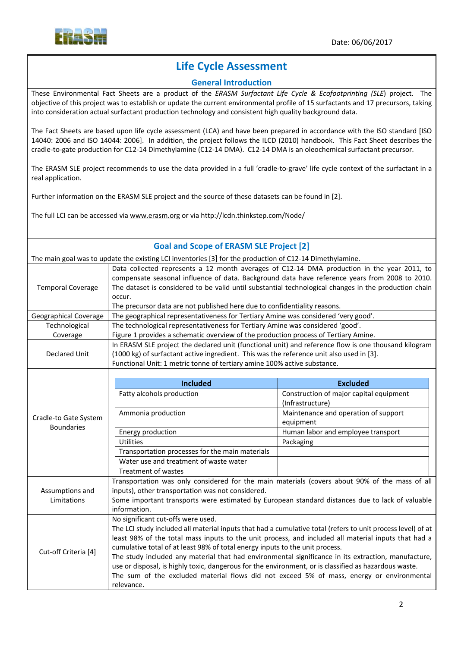

## **Life Cycle Assessment**

## **General Introduction**

These Environmental Fact Sheets are a product of the *ERASM Surfactant Life Cycle & Ecofootprinting (SLE*) project. The objective of this project was to establish or update the current environmental profile of 15 surfactants and 17 precursors, taking into consideration actual surfactant production technology and consistent high quality background data.

The Fact Sheets are based upon life cycle assessment (LCA) and have been prepared in accordance with the ISO standard [ISO 14040: 2006 and ISO 14044: 2006]. In addition, the project follows the ILCD (2010) handbook. This Fact Sheet describes the cradle‐to‐gate production for C12‐14 Dimethylamine (C12‐14 DMA). C12‐14 DMA is an oleochemical surfactant precursor.

The ERASM SLE project recommends to use the data provided in a full 'cradle-to-grave' life cycle context of the surfactant in a real application.

Further information on the ERASM SLE project and the source of these datasets can be found in [2].

The full LCI can be accessed via www.erasm.org or via http://lcdn.thinkstep.com/Node/

| <b>Goal and Scope of ERASM SLE Project [2]</b>                                                           |                                                                                                                                                      |                                                 |  |  |  |
|----------------------------------------------------------------------------------------------------------|------------------------------------------------------------------------------------------------------------------------------------------------------|-------------------------------------------------|--|--|--|
| The main goal was to update the existing LCI inventories [3] for the production of C12-14 Dimethylamine. |                                                                                                                                                      |                                                 |  |  |  |
|                                                                                                          | Data collected represents a 12 month averages of C12-14 DMA production in the year 2011, to                                                          |                                                 |  |  |  |
|                                                                                                          | compensate seasonal influence of data. Background data have reference years from 2008 to 2010.                                                       |                                                 |  |  |  |
| <b>Temporal Coverage</b>                                                                                 | The dataset is considered to be valid until substantial technological changes in the production chain                                                |                                                 |  |  |  |
|                                                                                                          | occur.                                                                                                                                               |                                                 |  |  |  |
|                                                                                                          | The precursor data are not published here due to confidentiality reasons.                                                                            |                                                 |  |  |  |
| Geographical Coverage                                                                                    | The geographical representativeness for Tertiary Amine was considered 'very good'.                                                                   |                                                 |  |  |  |
| Technological                                                                                            | The technological representativeness for Tertiary Amine was considered 'good'.                                                                       |                                                 |  |  |  |
| Coverage                                                                                                 | Figure 1 provides a schematic overview of the production process of Tertiary Amine.                                                                  |                                                 |  |  |  |
|                                                                                                          | In ERASM SLE project the declared unit (functional unit) and reference flow is one thousand kilogram                                                 |                                                 |  |  |  |
| <b>Declared Unit</b>                                                                                     | (1000 kg) of surfactant active ingredient. This was the reference unit also used in [3].                                                             |                                                 |  |  |  |
|                                                                                                          | Functional Unit: 1 metric tonne of tertiary amine 100% active substance.                                                                             |                                                 |  |  |  |
|                                                                                                          |                                                                                                                                                      |                                                 |  |  |  |
|                                                                                                          | <b>Included</b>                                                                                                                                      | <b>Excluded</b>                                 |  |  |  |
|                                                                                                          | Fatty alcohols production                                                                                                                            | Construction of major capital equipment         |  |  |  |
|                                                                                                          |                                                                                                                                                      | (Infrastructure)                                |  |  |  |
| Cradle-to Gate System                                                                                    | Ammonia production                                                                                                                                   | Maintenance and operation of support            |  |  |  |
| <b>Boundaries</b>                                                                                        |                                                                                                                                                      | equipment<br>Human labor and employee transport |  |  |  |
|                                                                                                          | Energy production<br><b>Utilities</b>                                                                                                                |                                                 |  |  |  |
|                                                                                                          | Transportation processes for the main materials                                                                                                      | Packaging                                       |  |  |  |
|                                                                                                          | Water use and treatment of waste water                                                                                                               |                                                 |  |  |  |
|                                                                                                          |                                                                                                                                                      |                                                 |  |  |  |
|                                                                                                          | <b>Treatment of wastes</b>                                                                                                                           |                                                 |  |  |  |
|                                                                                                          | Transportation was only considered for the main materials (covers about 90% of the mass of all                                                       |                                                 |  |  |  |
| Assumptions and                                                                                          | inputs), other transportation was not considered.<br>Some important transports were estimated by European standard distances due to lack of valuable |                                                 |  |  |  |
| Limitations                                                                                              | information.                                                                                                                                         |                                                 |  |  |  |
|                                                                                                          | No significant cut-offs were used.                                                                                                                   |                                                 |  |  |  |
|                                                                                                          | The LCI study included all material inputs that had a cumulative total (refers to unit process level) of at                                          |                                                 |  |  |  |
|                                                                                                          | least 98% of the total mass inputs to the unit process, and included all material inputs that had a                                                  |                                                 |  |  |  |
|                                                                                                          | cumulative total of at least 98% of total energy inputs to the unit process.                                                                         |                                                 |  |  |  |
| Cut-off Criteria [4]                                                                                     | The study included any material that had environmental significance in its extraction, manufacture,                                                  |                                                 |  |  |  |
|                                                                                                          | use or disposal, is highly toxic, dangerous for the environment, or is classified as hazardous waste.                                                |                                                 |  |  |  |
|                                                                                                          | The sum of the excluded material flows did not exceed 5% of mass, energy or environmental                                                            |                                                 |  |  |  |
|                                                                                                          | relevance.                                                                                                                                           |                                                 |  |  |  |
|                                                                                                          |                                                                                                                                                      |                                                 |  |  |  |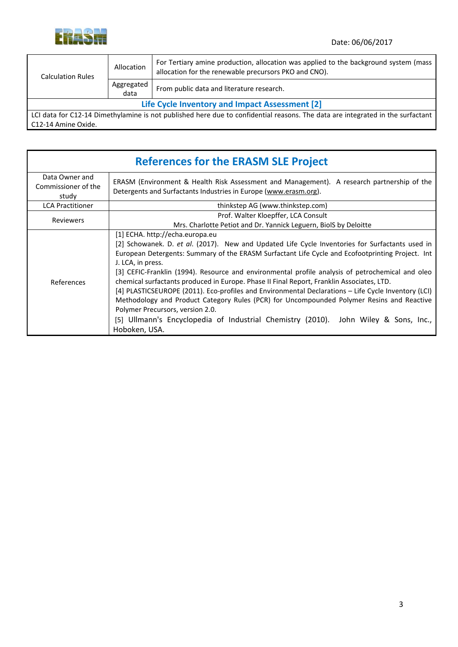

| <b>Calculation Rules</b>                       | Allocation           | For Tertiary amine production, allocation was applied to the background system (mass<br>allocation for the renewable precursors PKO and CNO). |  |  |
|------------------------------------------------|----------------------|-----------------------------------------------------------------------------------------------------------------------------------------------|--|--|
|                                                | Aggregated<br>  data | From public data and literature research.                                                                                                     |  |  |
| Life Cycle Inventory and Impact Assessment [2] |                      |                                                                                                                                               |  |  |
|                                                |                      | LCI data for C12-14 Dimethylamine is not published here due to confidential reasons. The data are integrated in the surfactant                |  |  |
| C12-14 Amine Oxide.                            |                      |                                                                                                                                               |  |  |

| <b>References for the ERASM SLE Project</b>    |                                                                                                                                                                                                                                                                                                                                                                                                                                                                                                                                                                                                                                                                                                                                                                                                              |  |  |  |
|------------------------------------------------|--------------------------------------------------------------------------------------------------------------------------------------------------------------------------------------------------------------------------------------------------------------------------------------------------------------------------------------------------------------------------------------------------------------------------------------------------------------------------------------------------------------------------------------------------------------------------------------------------------------------------------------------------------------------------------------------------------------------------------------------------------------------------------------------------------------|--|--|--|
| Data Owner and<br>Commissioner of the<br>study | ERASM (Environment & Health Risk Assessment and Management). A research partnership of the<br>Detergents and Surfactants Industries in Europe (www.erasm.org).                                                                                                                                                                                                                                                                                                                                                                                                                                                                                                                                                                                                                                               |  |  |  |
| <b>LCA Practitioner</b>                        | thinkstep AG (www.thinkstep.com)                                                                                                                                                                                                                                                                                                                                                                                                                                                                                                                                                                                                                                                                                                                                                                             |  |  |  |
| <b>Reviewers</b>                               | Prof. Walter Kloepffer, LCA Consult<br>Mrs. Charlotte Petiot and Dr. Yannick Leguern, BiolS by Deloitte                                                                                                                                                                                                                                                                                                                                                                                                                                                                                                                                                                                                                                                                                                      |  |  |  |
| References                                     | [1] ECHA. http://echa.europa.eu<br>[2] Schowanek. D. et al. (2017). New and Updated Life Cycle Inventories for Surfactants used in<br>European Detergents: Summary of the ERASM Surfactant Life Cycle and Ecofootprinting Project. Int<br>J. LCA, in press.<br>[3] CEFIC-Franklin (1994). Resource and environmental profile analysis of petrochemical and oleo<br>chemical surfactants produced in Europe. Phase II Final Report, Franklin Associates, LTD.<br>[4] PLASTICSEUROPE (2011). Eco-profiles and Environmental Declarations – Life Cycle Inventory (LCI)<br>Methodology and Product Category Rules (PCR) for Uncompounded Polymer Resins and Reactive<br>Polymer Precursors, version 2.0.<br>[5] Ullmann's Encyclopedia of Industrial Chemistry (2010). John Wiley & Sons, Inc.,<br>Hoboken, USA. |  |  |  |